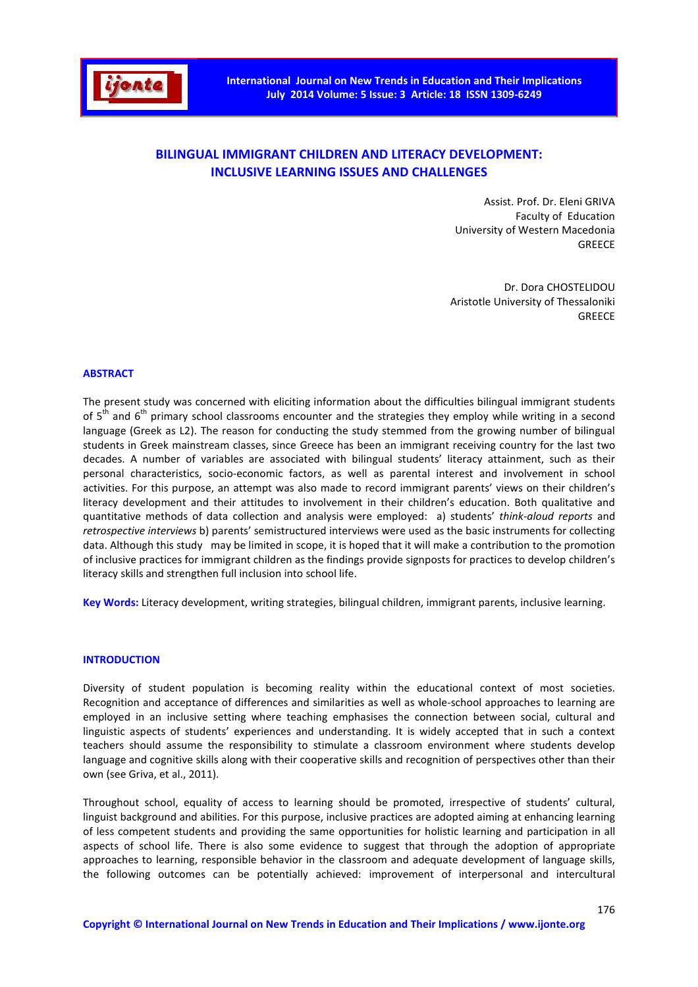

# **BILINGUAL IMMIGRANT CHILDREN AND LITERACY DEVELOPMENT: INCLUSIVE LEARNING ISSUES AND CHALLENGES**

Assist. Prof. Dr. Εleni GRIVA Faculty of Education University of Western Macedonia GREECE

Dr. Dora CHOSTELIDOU Aristotle University of Thessaloniki **GREECE** 

#### **ABSTRACT**

The present study was concerned with eliciting information about the difficulties bilingual immigrant students of  $5<sup>th</sup>$  and  $6<sup>th</sup>$  primary school classrooms encounter and the strategies they employ while writing in a second language (Greek as L2). The reason for conducting the study stemmed from the growing number of bilingual students in Greek mainstream classes, since Greece has been an immigrant receiving country for the last two decades. A number of variables are associated with bilingual students' literacy attainment, such as their personal characteristics, socio-economic factors, as well as parental interest and involvement in school activities. For this purpose, an attempt was also made to record immigrant parents' views on their children's literacy development and their attitudes to involvement in their children's education. Both qualitative and quantitative methods of data collection and analysis were employed: a) students' *think-aloud reports* and *retrospective interviews* b) parents' semistructured interviews were used as the basic instruments for collecting data. Although this study may be limited in scope, it is hoped that it will make a contribution to the promotion of inclusive practices for immigrant children as the findings provide signposts for practices to develop children's literacy skills and strengthen full inclusion into school life.

**Key Words:** Literacy development, writing strategies, bilingual children, immigrant parents, inclusive learning.

# **INTRODUCTION**

Diversity of student population is becoming reality within the educational context of most societies. Recognition and acceptance of differences and similarities as well as whole-school approaches to learning are employed in an inclusive setting where teaching emphasises the connection between social, cultural and linguistic aspects of students' experiences and understanding. It is widely accepted that in such a context teachers should assume the responsibility to stimulate a classroom environment where students develop language and cognitive skills along with their cooperative skills and recognition of perspectives other than their own (see Griva, et al., 2011).

Throughout school, equality of access to learning should be promoted, irrespective of students' cultural, linguist background and abilities. For this purpose, inclusive practices are adopted aiming at enhancing learning of less competent students and providing the same opportunities for holistic learning and participation in all aspects of school life. There is also some evidence to suggest that through the adoption of appropriate approaches to learning, responsible behavior in the classroom and adequate development of language skills, the following outcomes can be potentially achieved: improvement of interpersonal and intercultural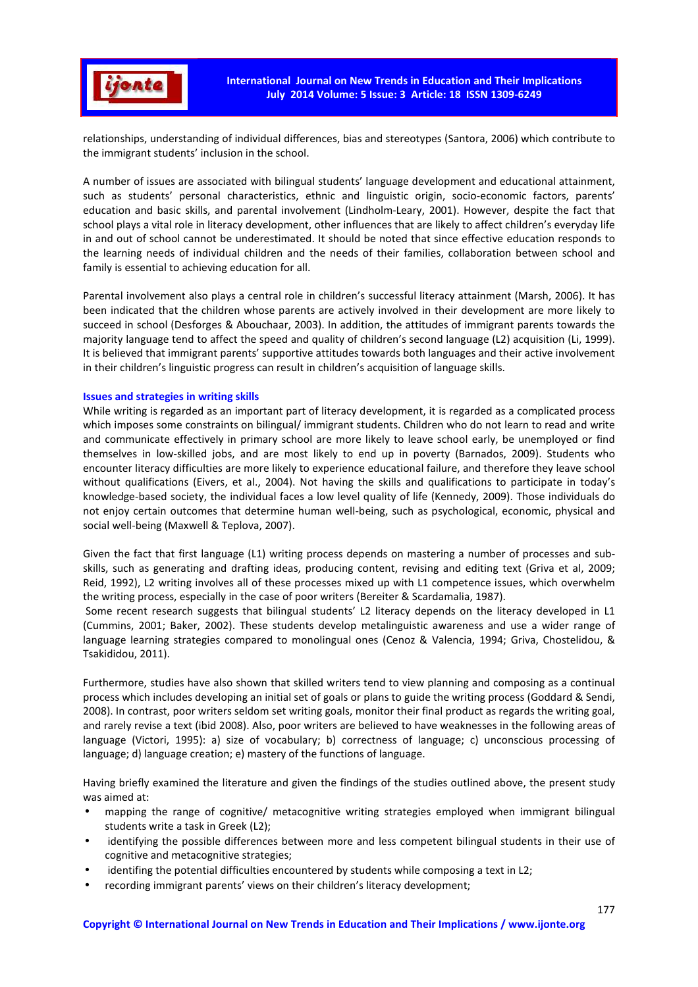

relationships, understanding of individual differences, bias and stereotypes (Santora, 2006) which contribute to the immigrant students' inclusion in the school.

A number of issues are associated with bilingual students' language development and educational attainment, such as students' personal characteristics, ethnic and linguistic origin, socio-economic factors, parents' education and basic skills, and parental involvement (Lindholm-Leary, 2001). However, despite the fact that school plays a vital role in literacy development, other influences that are likely to affect children's everyday life in and out of school cannot be underestimated. It should be noted that since effective education responds to the learning needs of individual children and the needs of their families, collaboration between school and family is essential to achieving education for all.

Parental involvement also plays a central role in children's successful literacy attainment (Marsh, 2006). It has been indicated that the children whose parents are actively involved in their development are more likely to succeed in school (Desforges & Abouchaar, 2003). In addition, the attitudes of immigrant parents towards the majority language tend to affect the speed and quality of children's second language (L2) acquisition (Li, 1999). It is believed that immigrant parents' supportive attitudes towards both languages and their active involvement in their children's linguistic progress can result in children's acquisition of language skills.

#### **Issues and strategies in writing skills**

While writing is regarded as an important part of literacy development, it is regarded as a complicated process which imposes some constraints on bilingual/ immigrant students. Children who do not learn to read and write and communicate effectively in primary school are more likely to leave school early, be unemployed or find themselves in low-skilled jobs, and are most likely to end up in poverty (Barnados, 2009). Students who encounter literacy difficulties are more likely to experience educational failure, and therefore they leave school without qualifications (Eivers, et al., 2004). Not having the skills and qualifications to participate in today's knowledge-based society, the individual faces a low level quality of life (Kennedy, 2009). Those individuals do not enjoy certain outcomes that determine human well-being, such as psychological, economic, physical and social well-being (Maxwell & Teplova, 2007).

Given the fact that first language (L1) writing process depends on mastering a number of processes and subskills, such as generating and drafting ideas, producing content, revising and editing text (Griva et al, 2009; Reid, 1992), L2 writing involves all of these processes mixed up with L1 competence issues, which overwhelm the writing process, especially in the case of poor writers (Bereiter & Scardamalia, 1987).

 Some recent research suggests that bilingual students' L2 literacy depends on the literacy developed in L1 (Cummins, 2001; Baker, 2002). These students develop metalinguistic awareness and use a wider range of language learning strategies compared to monolingual ones (Cenoz & Valencia, 1994; Griva, Chostelidou, & Tsakididou, 2011).

Furthermore, studies have also shown that skilled writers tend to view planning and composing as a continual process which includes developing an initial set of goals or plans to guide the writing process (Goddard & Sendi, 2008). In contrast, poor writers seldom set writing goals, monitor their final product as regards the writing goal, and rarely revise a text (ibid 2008). Also, poor writers are believed to have weaknesses in the following areas of language (Victori, 1995): a) size of vocabulary; b) correctness of language; c) unconscious processing of language; d) language creation; e) mastery of the functions of language.

Having briefly examined the literature and given the findings of the studies outlined above, the present study was aimed at:

- mapping the range of cognitive/ metacognitive writing strategies employed when immigrant bilingual students write a task in Greek (L2);
- identifying the possible differences between more and less competent bilingual students in their use of cognitive and metacognitive strategies;
- identifing the potential difficulties encountered by students while composing a text in L2;
- recording immigrant parents' views on their children's literacy development;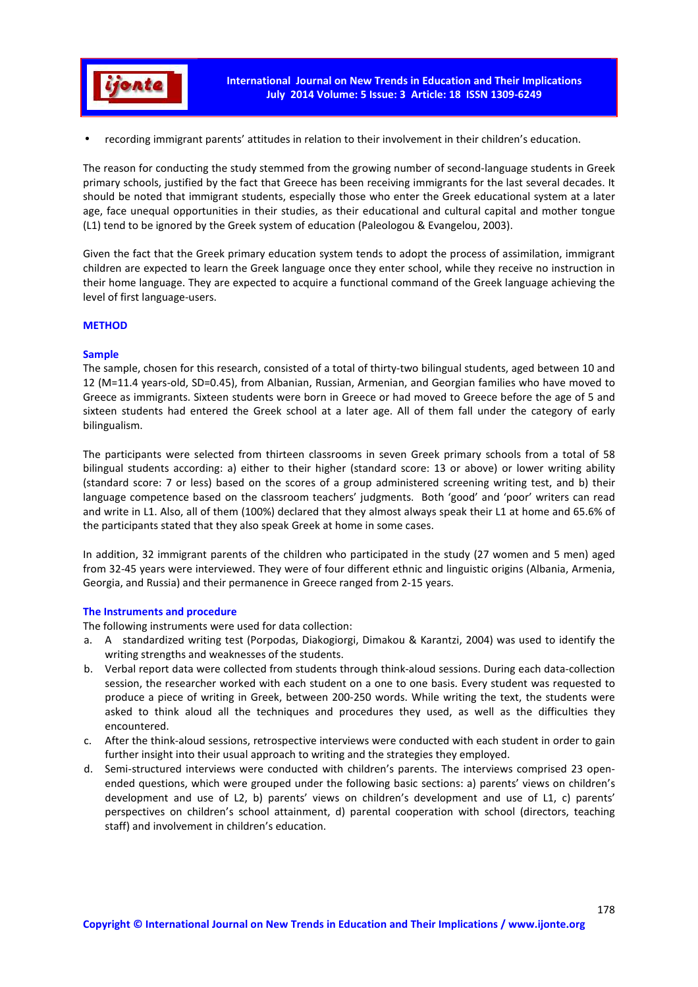

• recording immigrant parents' attitudes in relation to their involvement in their children's education.

The reason for conducting the study stemmed from the growing number of second-language students in Greek primary schools, justified by the fact that Greece has been receiving immigrants for the last several decades. It should be noted that immigrant students, especially those who enter the Greek educational system at a later age, face unequal opportunities in their studies, as their educational and cultural capital and mother tongue (L1) tend to be ignored by the Greek system of education (Paleologou & Evangelou, 2003).

Given the fact that the Greek primary education system tends to adopt the process of assimilation, immigrant children are expected to learn the Greek language once they enter school, while they receive no instruction in their home language. They are expected to acquire a functional command of the Greek language achieving the level of first language-users.

#### **ΜΕΤΗΟD**

#### **Sample**

The sample, chosen for this research, consisted of a total of thirty-two bilingual students, aged between 10 and 12 (M=11.4 years-old, SD=0.45), from Albanian, Russian, Armenian, and Georgian families who have moved to Greece as immigrants. Sixteen students were born in Greece or had moved to Greece before the age of 5 and sixteen students had entered the Greek school at a later age. All of them fall under the category of early bilingualism.

The participants were selected from thirteen classrooms in seven Greek primary schools from a total of 58 bilingual students according: a) either to their higher (standard score: 13 or above) or lower writing ability (standard score: 7 or less) based on the scores of a group administered screening writing test, and b) their language competence based on the classroom teachers' judgments. Both 'good' and 'poor' writers can read and write in L1. Also, all of them (100%) declared that they almost always speak their L1 at home and 65.6% of the participants stated that they also speak Greek at home in some cases.

In addition, 32 immigrant parents of the children who participated in the study (27 women and 5 men) aged from 32-45 years were interviewed. They were of four different ethnic and linguistic origins (Albania, Armenia, Georgia, and Russia) and their permanence in Greece ranged from 2-15 years.

#### **The Instruments and procedure**

The following instruments were used for data collection:

- a. A standardized writing test (Porpodas, Diakogiorgi, Dimakou & Karantzi, 2004) was used to identify the writing strengths and weaknesses of the students.
- b. Verbal report data were collected from students through think-aloud sessions. During each data-collection session, the researcher worked with each student on a one to one basis. Every student was requested to produce a piece of writing in Greek, between 200-250 words. While writing the text, the students were asked to think aloud all the techniques and procedures they used, as well as the difficulties they encountered.
- c. After the think-aloud sessions, retrospective interviews were conducted with each student in order to gain further insight into their usual approach to writing and the strategies they employed.
- d. Semi-structured interviews were conducted with children's parents. The interviews comprised 23 openended questions, which were grouped under the following basic sections: a) parents' views on children's development and use of L2, b) parents' views on children's development and use of L1, c) parents' perspectives on children's school attainment, d) parental cooperation with school (directors, teaching staff) and involvement in children's education.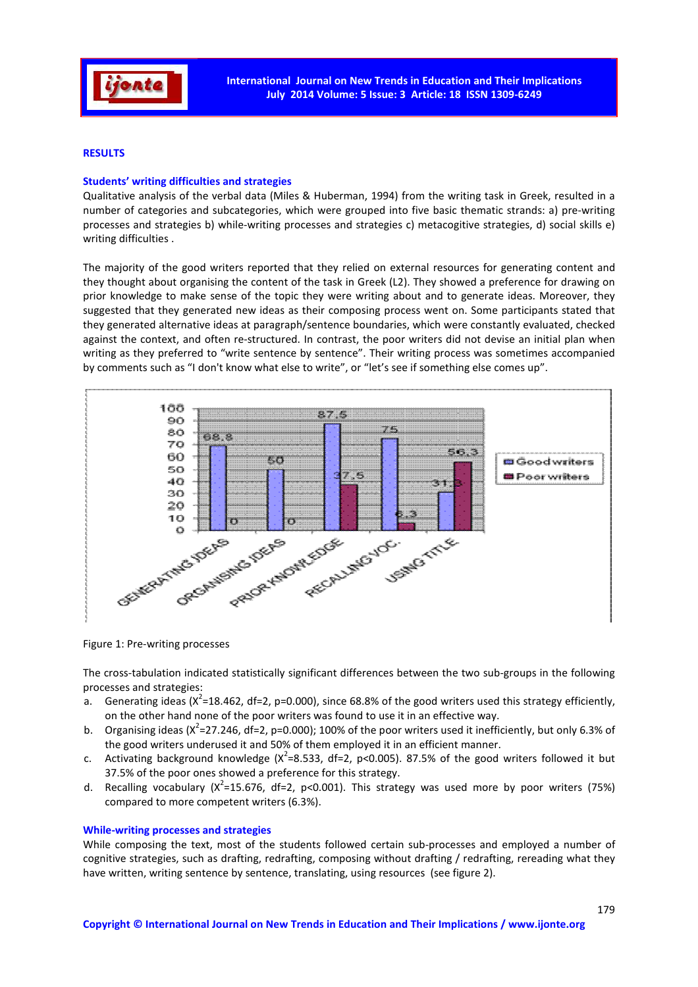

#### **RESULTS**

#### **Students' writing difficulties and strategies**

Qualitative analysis of the verbal data (Miles & Huberman, 1994) from the writing task in Greek, resulted in a number of categories and subcategories, which were grouped into five basic thematic strands: a) pre-writing processes and strategies b) while-writing processes and strategies c) metacogitive strategies, d) social skills e) writing difficulties .

The majority of the good writers reported that they relied on external resources for generating content and they thought about organising the content of the task in Greek (L2). They showed a preference for drawing on prior knowledge to make sense of the topic they were writing about and to generate ideas. Moreover, they suggested that they generated new ideas as their composing process went on. Some participants stated that they generated alternative ideas at paragraph/sentence boundaries, which were constantly evaluated, checked against the context, and often re-structured. In contrast, the poor writers did not devise an initial plan when writing as they preferred to "write sentence by sentence". Their writing process was sometimes accompanied by comments such as "I don't know what else to write", or "let's see if something else comes up".



Figure 1: Pre-writing processes

The cross-tabulation indicated statistically significant differences between the two sub-groups in the following processes and strategies:

- a. Generating ideas ( $X^2$ =18.462, df=2, p=0.000), since 68.8% of the good writers used this strategy efficiently, on the other hand none of the poor writers was found to use it in an effective way.
- b. Organising ideas ( $x^2$ =27.246, df=2, p=0.000); 100% of the poor writers used it inefficiently, but only 6.3% of the good writers underused it and 50% of them employed it in an efficient manner.
- c. Activating background knowledge ( $X^2$ =8.533, df=2, p<0.005). 87.5% of the good writers followed it but 37.5% of the poor ones showed a preference for this strategy.
- d. Recalling vocabulary ( $X^2$ =15.676, df=2, p<0.001). This strategy was used more by poor writers (75%) compared to more competent writers (6.3%).

#### **While-writing processes and strategies**

While composing the text, most of the students followed certain sub-processes and employed a number of cognitive strategies, such as drafting, redrafting, composing without drafting / redrafting, rereading what they have written, writing sentence by sentence, translating, using resources (see figure 2).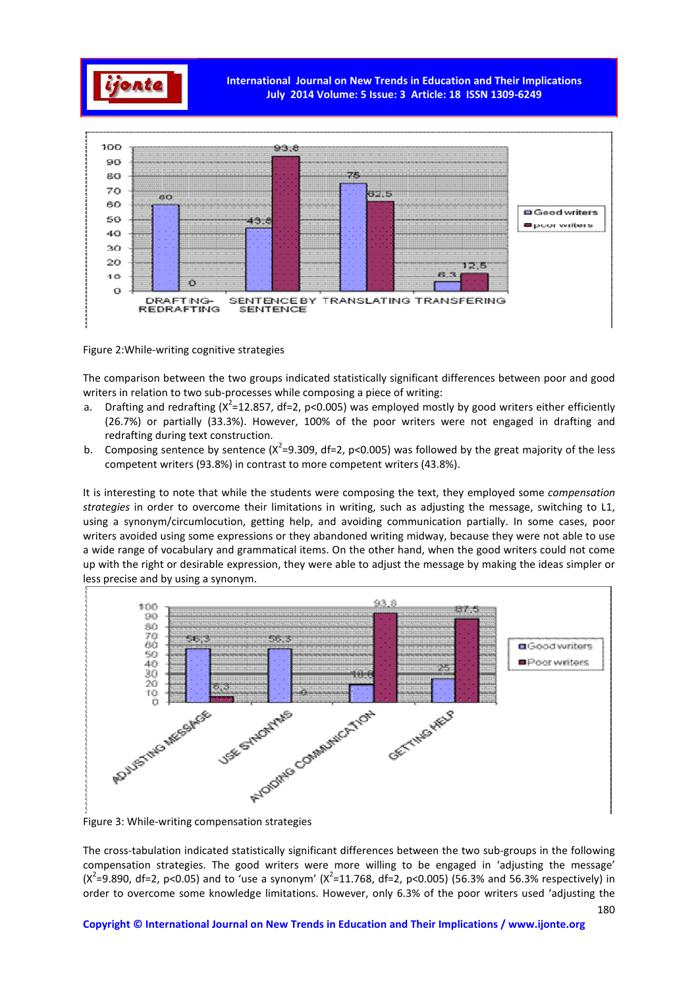

#### Figure 2:While-writing cognitive strategies

The comparison between the two groups indicated statistically significant differences between poor and good writers in relation to two sub-processes while composing a piece of writing:

- a. Drafting and redrafting (X<sup>2</sup>=12.857, df=2, p<0.005) was employed mostly by good writers either efficiently (26.7%) or partially (33.3%). However, 100% of the poor writers were not engaged in drafting and redrafting during text construction.
- b. Composing sentence by sentence ( $X^2$ =9.309, df=2, p<0.005) was followed by the great majority of the less competent writers (93.8%) in contrast to more competent writers (43.8%).

It is interesting to note that while the students were composing the text, they employed some *compensation strategies* in order to overcome their limitations in writing, such as adjusting the message, switching to L1, using a synonym/circumlocution, getting help, and avoiding communication partially. In some cases, poor writers avoided using some expressions or they abandoned writing midway, because they were not able to use a wide range of vocabulary and grammatical items. On the other hand, when the good writers could not come up with the right or desirable expression, they were able to adjust the message by making the ideas simpler or less precise and by using a synonym.



Figure 3: While-writing compensation strategies

The cross-tabulation indicated statistically significant differences between the two sub-groups in the following compensation strategies. The good writers were more willing to be engaged in 'adjusting the message' ( $X^2$ =9.890, df=2, p<0.05) and to 'use a synonym' ( $X^2$ =11.768, df=2, p<0.005) (56.3% and 56.3% respectively) in order to overcome some knowledge limitations. However, only 6.3% of the poor writers used 'adjusting the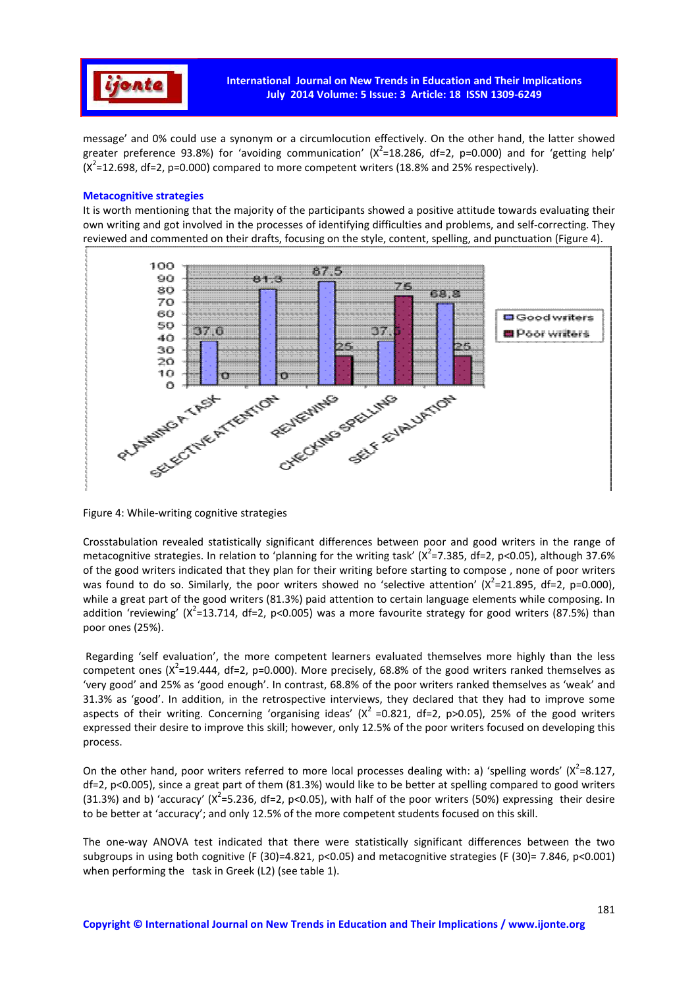

message' and 0% could use a synonym or a circumlocution effectively. On the other hand, the latter showed greater preference 93.8%) for 'avoiding communication' ( $X^2$ =18.286, df=2, p=0.000) and for 'getting help'  $(X^2=12.698, df=2, p=0.000)$  compared to more competent writers (18.8% and 25% respectively).

#### **Metacognitive strategies**

It is worth mentioning that the majority of the participants showed a positive attitude towards evaluating their own writing and got involved in the processes of identifying difficulties and problems, and self-correcting. They reviewed and commented on their drafts, focusing on the style, content, spelling, and punctuation (Figure 4).



Figure 4: While-writing cognitive strategies

Crosstabulation revealed statistically significant differences between poor and good writers in the range of metacognitive strategies. In relation to 'planning for the writing task' ( $X^2$ =7.385, df=2, p<0.05), although 37.6% of the good writers indicated that they plan for their writing before starting to compose , none of poor writers was found to do so. Similarly, the poor writers showed no 'selective attention'  $(X^2=21.895, df=2, p=0.000)$ , while a great part of the good writers (81.3%) paid attention to certain language elements while composing. In addition 'reviewing' ( $X^2$ =13.714, df=2, p<0.005) was a more favourite strategy for good writers (87.5%) than poor ones (25%).

 Regarding 'self evaluation', the more competent learners evaluated themselves more highly than the less competent ones ( $X^2$ =19.444, df=2, p=0.000). More precisely, 68.8% of the good writers ranked themselves as 'very good' and 25% as 'good enough'. In contrast, 68.8% of the poor writers ranked themselves as 'weak' and 31.3% as 'good'. In addition, in the retrospective interviews, they declared that they had to improve some aspects of their writing. Concerning 'organising ideas'  $(X^2 = 0.821, df = 2, p > 0.05)$ , 25% of the good writers expressed their desire to improve this skill; however, only 12.5% of the poor writers focused on developing this process.

On the other hand, poor writers referred to more local processes dealing with: a) 'spelling words' ( $X^2$ =8.127, df=2, p<0.005), since a great part of them (81.3%) would like to be better at spelling compared to good writers (31.3%) and b) 'accuracy' ( $X^2$ =5.236, df=2, p<0.05), with half of the poor writers (50%) expressing their desire to be better at 'accuracy'; and only 12.5% of the more competent students focused on this skill.

The one-way ANOVA test indicated that there were statistically significant differences between the two subgroups in using both cognitive (F (30)=4.821, p<0.05) and metacognitive strategies (F (30)= 7.846, p<0.001) when performing the task in Greek (L2) (see table 1).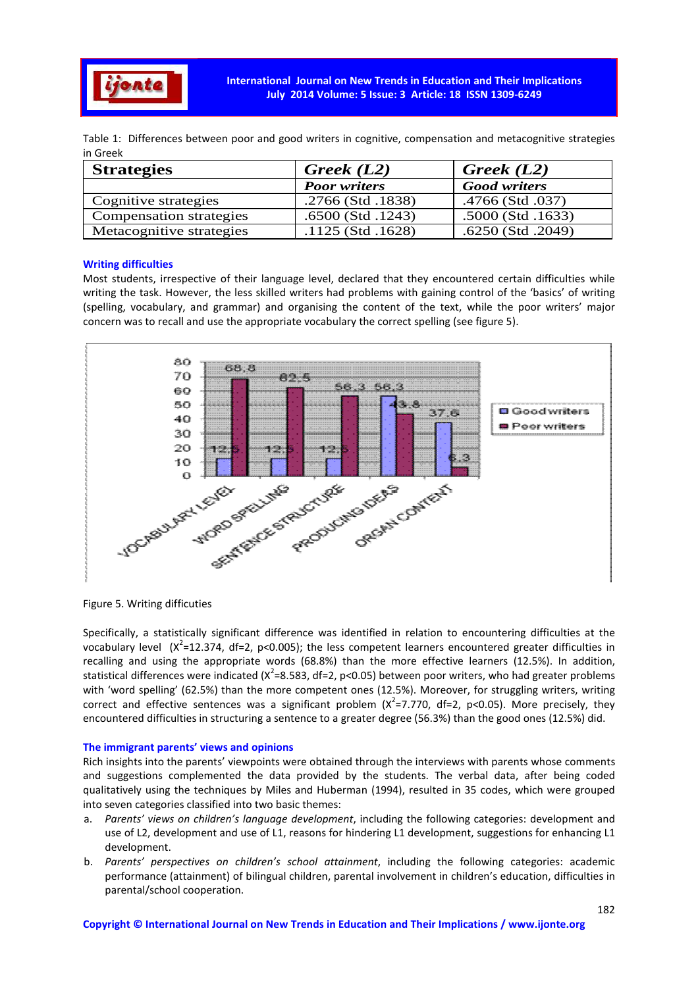

|          |  |  |  | Table 1: Differences between poor and good writers in cognitive, compensation and metacognitive strategies |  |
|----------|--|--|--|------------------------------------------------------------------------------------------------------------|--|
| in Greek |  |  |  |                                                                                                            |  |

| <b>Strategies</b>        | $\text{Greek }(L2)$    | Greek (L2)             |  |  |
|--------------------------|------------------------|------------------------|--|--|
|                          | <b>Poor writers</b>    | <b>Good writers</b>    |  |  |
| Cognitive strategies     | .2766 (Std.1838)       | .4766 (Std .037)       |  |  |
| Compensation strategies  | $.6500$ (Std $.1243$ ) | $.5000$ (Std $.1633$ ) |  |  |
| Metacognitive strategies | $.1125$ (Std $.1628$ ) | $.6250$ (Std $.2049$ ) |  |  |

#### **Writing difficulties**

Most students, irrespective of their language level, declared that they encountered certain difficulties while writing the task. However, the less skilled writers had problems with gaining control of the 'basics' of writing (spelling, vocabulary, and grammar) and organising the content of the text, while the poor writers' major concern was to recall and use the appropriate vocabulary the correct spelling (see figure 5).



Figure 5. Writing difficuties

Specifically, a statistically significant difference was identified in relation to encountering difficulties at the vocabulary level ( $X^2$ =12.374, df=2, p<0.005); the less competent learners encountered greater difficulties in recalling and using the appropriate words (68.8%) than the more effective learners (12.5%). In addition, statistical differences were indicated (X<sup>2</sup>=8.583, df=2, p<0.05) between poor writers, who had greater problems with 'word spelling' (62.5%) than the more competent ones (12.5%). Moreover, for struggling writers, writing correct and effective sentences was a significant problem ( $X^2$ =7.770, df=2, p<0.05). More precisely, they encountered difficulties in structuring a sentence to a greater degree (56.3%) than the good ones (12.5%) did.

#### **The immigrant parents' views and opinions**

Rich insights into the parents' viewpoints were obtained through the interviews with parents whose comments and suggestions complemented the data provided by the students. The verbal data, after being coded qualitatively using the techniques by Miles and Huberman (1994), resulted in 35 codes, which were grouped into seven categories classified into two basic themes:

- a. *Parents' views on children's language development*, including the following categories: development and use of L2, development and use of L1, reasons for hindering L1 development, suggestions for enhancing L1 development.
- b. *Parents' perspectives on children's school attainment*, including the following categories: academic performance (attainment) of bilingual children, parental involvement in children's education, difficulties in parental/school cooperation.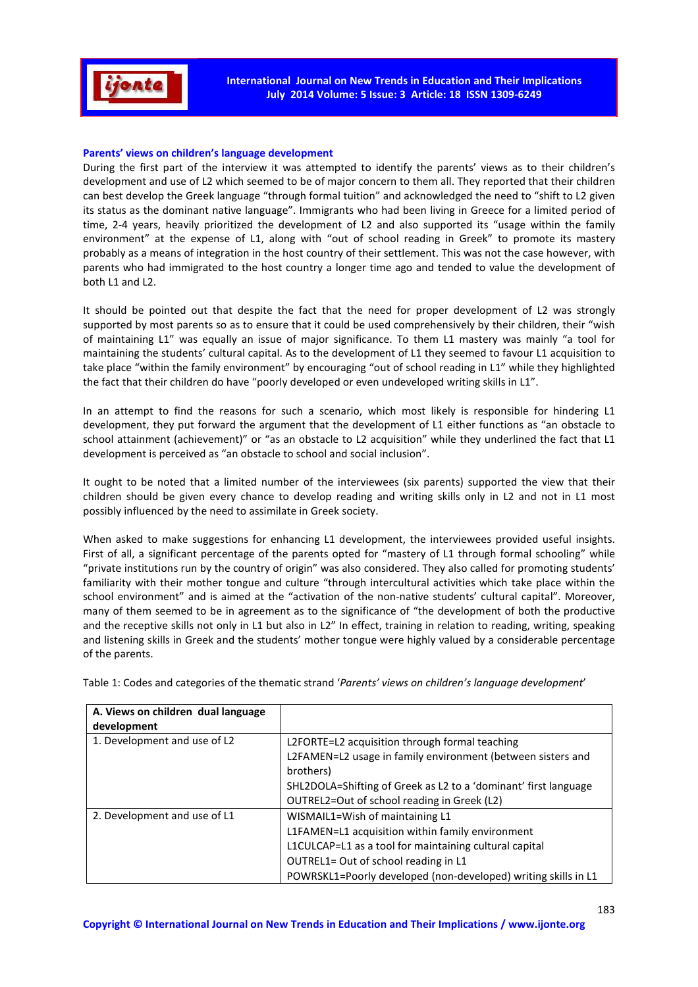

# **Parents' views on children's language development**

During the first part of the interview it was attempted to identify the parents' views as to their children's development and use of L2 which seemed to be of major concern to them all. They reported that their children can best develop the Greek language "through formal tuition" and acknowledged the need to "shift to L2 given its status as the dominant native language". Immigrants who had been living in Greece for a limited period of time, 2-4 years, heavily prioritized the development of L2 and also supported its "usage within the family environment" at the expense of L1, along with "out of school reading in Greek" to promote its mastery probably as a means of integration in the host country of their settlement. This was not the case however, with parents who had immigrated to the host country a longer time ago and tended to value the development of both L1 and L2.

It should be pointed out that despite the fact that the need for proper development of L2 was strongly supported by most parents so as to ensure that it could be used comprehensively by their children, their "wish of maintaining L1" was equally an issue of major significance. To them L1 mastery was mainly "a tool for maintaining the students' cultural capital. As to the development of L1 they seemed to favour L1 acquisition to take place "within the family environment" by encouraging "out of school reading in L1" while they highlighted the fact that their children do have "poorly developed or even undeveloped writing skills in L1".

In an attempt to find the reasons for such a scenario, which most likely is responsible for hindering L1 development, they put forward the argument that the development of L1 either functions as "an obstacle to school attainment (achievement)" or "as an obstacle to L2 acquisition" while they underlined the fact that L1 development is perceived as "an obstacle to school and social inclusion".

It ought to be noted that a limited number of the interviewees (six parents) supported the view that their children should be given every chance to develop reading and writing skills only in L2 and not in L1 most possibly influenced by the need to assimilate in Greek society.

When asked to make suggestions for enhancing L1 development, the interviewees provided useful insights. First of all, a significant percentage of the parents opted for "mastery of L1 through formal schooling" while "private institutions run by the country of origin" was also considered. They also called for promoting students' familiarity with their mother tongue and culture "through intercultural activities which take place within the school environment" and is aimed at the "activation of the non-native students' cultural capital". Moreover, many of them seemed to be in agreement as to the significance of "the development of both the productive and the receptive skills not only in L1 but also in L2" In effect, training in relation to reading, writing, speaking and listening skills in Greek and the students' mother tongue were highly valued by a considerable percentage of the parents.

| A. Views on children dual language<br>development |                                                                                                                                                                                                                                                         |
|---------------------------------------------------|---------------------------------------------------------------------------------------------------------------------------------------------------------------------------------------------------------------------------------------------------------|
| 1. Development and use of L2                      | L2FORTE=L2 acquisition through formal teaching<br>L2FAMEN=L2 usage in family environment (between sisters and<br>brothers)<br>SHL2DOLA=Shifting of Greek as L2 to a 'dominant' first language<br>OUTREL2=Out of school reading in Greek (L2)            |
| 2. Development and use of L1                      | WISMAIL1=Wish of maintaining L1<br>L1FAMEN=L1 acquisition within family environment<br>L1CULCAP=L1 as a tool for maintaining cultural capital<br>OUTREL1= Out of school reading in L1<br>POWRSKL1=Poorly developed (non-developed) writing skills in L1 |

Table 1: Codes and categories of the thematic strand '*Parents' views on children's language development*'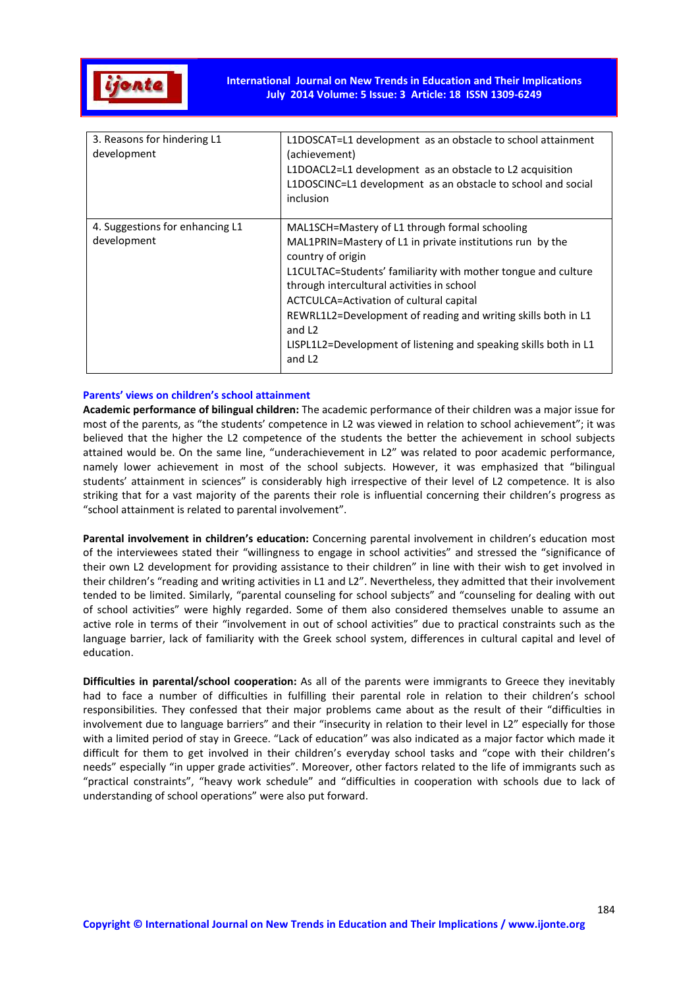

| 3. Reasons for hindering L1<br>development     | L1DOSCAT=L1 development as an obstacle to school attainment<br>(achievement)<br>L1DOACL2=L1 development as an obstacle to L2 acquisition<br>L1DOSCINC=L1 development as an obstacle to school and social<br>inclusion                                                                                                                                                                                                                                                       |
|------------------------------------------------|-----------------------------------------------------------------------------------------------------------------------------------------------------------------------------------------------------------------------------------------------------------------------------------------------------------------------------------------------------------------------------------------------------------------------------------------------------------------------------|
| 4. Suggestions for enhancing L1<br>development | MAL1SCH=Mastery of L1 through formal schooling<br>MAL1PRIN=Mastery of L1 in private institutions run by the<br>country of origin<br>L1CULTAC=Students' familiarity with mother tongue and culture<br>through intercultural activities in school<br>ACTCULCA=Activation of cultural capital<br>REWRL1L2=Development of reading and writing skills both in L1<br>and L <sub>2</sub><br>LISPL1L2=Development of listening and speaking skills both in L1<br>and L <sub>2</sub> |

### **Parents' views on children's school attainment**

**Academic performance of bilingual children:** The academic performance of their children was a major issue for most of the parents, as "the students' competence in L2 was viewed in relation to school achievement"; it was believed that the higher the L2 competence of the students the better the achievement in school subjects attained would be. On the same line, "underachievement in L2" was related to poor academic performance, namely lower achievement in most of the school subjects. However, it was emphasized that "bilingual students' attainment in sciences" is considerably high irrespective of their level of L2 competence. It is also striking that for a vast majority of the parents their role is influential concerning their children's progress as "school attainment is related to parental involvement".

**Parental involvement in children's education:** Concerning parental involvement in children's education most of the interviewees stated their "willingness to engage in school activities" and stressed the "significance of their own L2 development for providing assistance to their children" in line with their wish to get involved in their children's "reading and writing activities in L1 and L2". Nevertheless, they admitted that their involvement tended to be limited. Similarly, "parental counseling for school subjects" and "counseling for dealing with out of school activities" were highly regarded. Some of them also considered themselves unable to assume an active role in terms of their "involvement in out of school activities" due to practical constraints such as the language barrier, lack of familiarity with the Greek school system, differences in cultural capital and level of education.

**Difficulties in parental/school cooperation:** As all of the parents were immigrants to Greece they inevitably had to face a number of difficulties in fulfilling their parental role in relation to their children's school responsibilities. They confessed that their major problems came about as the result of their "difficulties in involvement due to language barriers" and their "insecurity in relation to their level in L2" especially for those with a limited period of stay in Greece. "Lack of education" was also indicated as a major factor which made it difficult for them to get involved in their children's everyday school tasks and "cope with their children's needs" especially "in upper grade activities". Moreover, other factors related to the life of immigrants such as "practical constraints", "heavy work schedule" and "difficulties in cooperation with schools due to lack of understanding of school operations" were also put forward.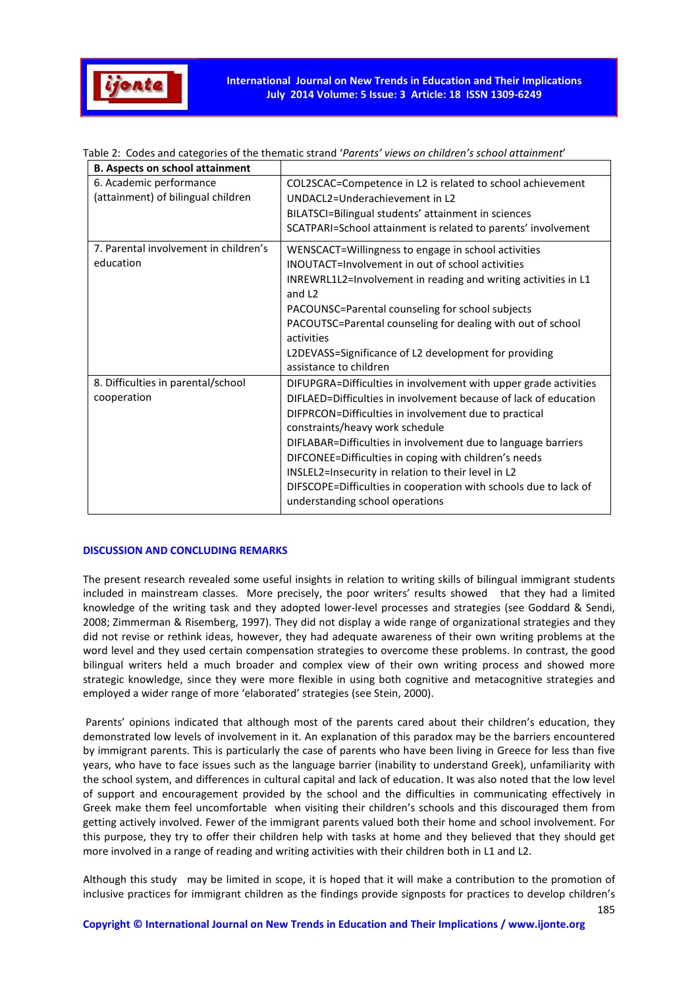

|  |  |  | Table 2: Codes and categories of the thematic strand 'Parents' views on children's school attainment' |  |  |  |  |  |  |
|--|--|--|-------------------------------------------------------------------------------------------------------|--|--|--|--|--|--|
|--|--|--|-------------------------------------------------------------------------------------------------------|--|--|--|--|--|--|

| <b>B. Aspects on school attainment</b>                        |                                                                                                                                                                                                                                                                                                                                                                                                                                                                                                                                                    |
|---------------------------------------------------------------|----------------------------------------------------------------------------------------------------------------------------------------------------------------------------------------------------------------------------------------------------------------------------------------------------------------------------------------------------------------------------------------------------------------------------------------------------------------------------------------------------------------------------------------------------|
| 6. Academic performance<br>(attainment) of bilingual children | COL2SCAC=Competence in L2 is related to school achievement<br>UNDACL2=Underachievement in L2<br>BILATSCI=Bilingual students' attainment in sciences<br>SCATPARI=School attainment is related to parents' involvement                                                                                                                                                                                                                                                                                                                               |
| 7. Parental involvement in children's<br>education            | WENSCACT=Willingness to engage in school activities<br><b>INOUTACT=Involvement in out of school activities</b><br>INREWRL1L2=Involvement in reading and writing activities in L1<br>and L <sub>2</sub><br>PACOUNSC=Parental counseling for school subjects<br>PACOUTSC=Parental counseling for dealing with out of school<br>activities<br>L2DEVASS=Significance of L2 development for providing                                                                                                                                                   |
| 8. Difficulties in parental/school<br>cooperation             | assistance to children<br>DIFUPGRA=Difficulties in involvement with upper grade activities<br>DIFLAED=Difficulties in involvement because of lack of education<br>DIFPRCON=Difficulties in involvement due to practical<br>constraints/heavy work schedule<br>DIFLABAR=Difficulties in involvement due to language barriers<br>DIFCONEE=Difficulties in coping with children's needs<br>INSLEL2=Insecurity in relation to their level in L2<br>DIFSCOPE=Difficulties in cooperation with schools due to lack of<br>understanding school operations |

#### **DISCUSSION AND CONCLUDING REMARKS**

The present research revealed some useful insights in relation to writing skills of bilingual immigrant students included in mainstream classes. More precisely, the poor writers' results showed that they had a limited knowledge of the writing task and they adopted lower-level processes and strategies (see Goddard & Sendi, 2008; Zimmerman & Risemberg, 1997). They did not display a wide range of organizational strategies and they did not revise or rethink ideas, however, they had adequate awareness of their own writing problems at the word level and they used certain compensation strategies to overcome these problems. In contrast, the good bilingual writers held a much broader and complex view of their own writing process and showed more strategic knowledge, since they were more flexible in using both cognitive and metacognitive strategies and employed a wider range of more 'elaborated' strategies (see Stein, 2000).

 Parents' opinions indicated that although most of the parents cared about their children's education, they demonstrated low levels of involvement in it. An explanation of this paradox may be the barriers encountered by immigrant parents. This is particularly the case of parents who have been living in Greece for less than five years, who have to face issues such as the language barrier (inability to understand Greek), unfamiliarity with the school system, and differences in cultural capital and lack of education. It was also noted that the low level of support and encouragement provided by the school and the difficulties in communicating effectively in Greek make them feel uncomfortable when visiting their children's schools and this discouraged them from getting actively involved. Fewer of the immigrant parents valued both their home and school involvement. For this purpose, they try to offer their children help with tasks at home and they believed that they should get more involved in a range of reading and writing activities with their children both in L1 and L2.

Although this study may be limited in scope, it is hoped that it will make a contribution to the promotion of inclusive practices for immigrant children as the findings provide signposts for practices to develop children's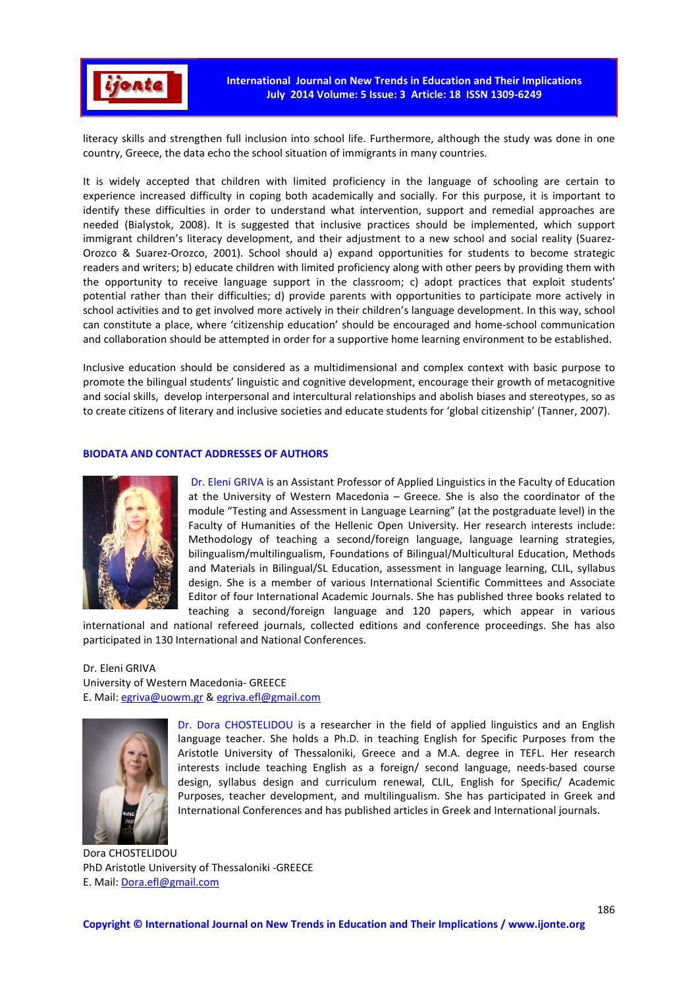

literacy skills and strengthen full inclusion into school life. Furthermore, although the study was done in one country, Greece, the data echo the school situation of immigrants in many countries.

It is widely accepted that children with limited proficiency in the language of schooling are certain to experience increased difficulty in coping both academically and socially. For this purpose, it is important to identify these difficulties in order to understand what intervention, support and remedial approaches are needed (Bialystok, 2008). It is suggested that inclusive practices should be implemented, which support immigrant children's literacy development, and their adjustment to a new school and social reality (Suarez-Orozco & Suarez-Orozco, 2001). School should a) expand opportunities for students to become strategic readers and writers; b) educate children with limited proficiency along with other peers by providing them with the opportunity to receive language support in the classroom; c) adopt practices that exploit students' potential rather than their difficulties; d) provide parents with opportunities to participate more actively in school activities and to get involved more actively in their children's language development. In this way, school can constitute a place, where 'citizenship education' should be encouraged and home-school communication and collaboration should be attempted in order for a supportive home learning environment to be established.

Inclusive education should be considered as a multidimensional and complex context with basic purpose to promote the bilingual students' linguistic and cognitive development, encourage their growth of metacognitive and social skills, develop interpersonal and intercultural relationships and abolish biases and stereotypes, so as to create citizens of literary and inclusive societies and educate students for 'global citizenship' (Tanner, 2007).

#### **BIODATA AND CONTACT ADDRESSES OF AUTHORS**



Dr. Eleni GRIVA is an Assistant Professor of Applied Linguistics in the Faculty of Education at the University of Western Macedonia – Greece. She is also the coordinator of the module "Testing and Assessment in Language Learning" (at the postgraduate level) in the Faculty of Humanities of the Hellenic Open University. Her research interests include: Methodology of teaching a second/foreign language, language learning strategies, bilingualism/multilingualism, Foundations of Bilingual/Multicultural Education, Methods and Materials in Bilingual/SL Education, assessment in language learning, CLIL, syllabus design. She is a member of various International Scientific Committees and Associate Editor of four International Academic Journals. She has published three books related to teaching a second/foreign language and 120 papers, which appear in various

international and national refereed journals, collected editions and conference proceedings. She has also participated in 130 International and National Conferences.

Dr. Eleni GRIVA University of Western Macedonia- GREECE E. Mail: egriva@uowm.gr & egriva.efl@gmail.com



Dr. Dora CHOSTELIDOU is a researcher in the field of applied linguistics and an English language teacher. She holds a Ph.D. in teaching English for Specific Purposes from the Aristotle University of Thessaloniki, Greece and a M.A. degree in TEFL. Her research interests include teaching English as a foreign/ second language, needs-based course design, syllabus design and curriculum renewal, CLIL, English for Specific/ Academic Purposes, teacher development, and multilingualism. She has participated in Greek and International Conferences and has published articles in Greek and International journals.

Dora CHOSTELIDOU PhD Aristotle University of Thessaloniki -GREECE E. Mail: Dora.efl@gmail.com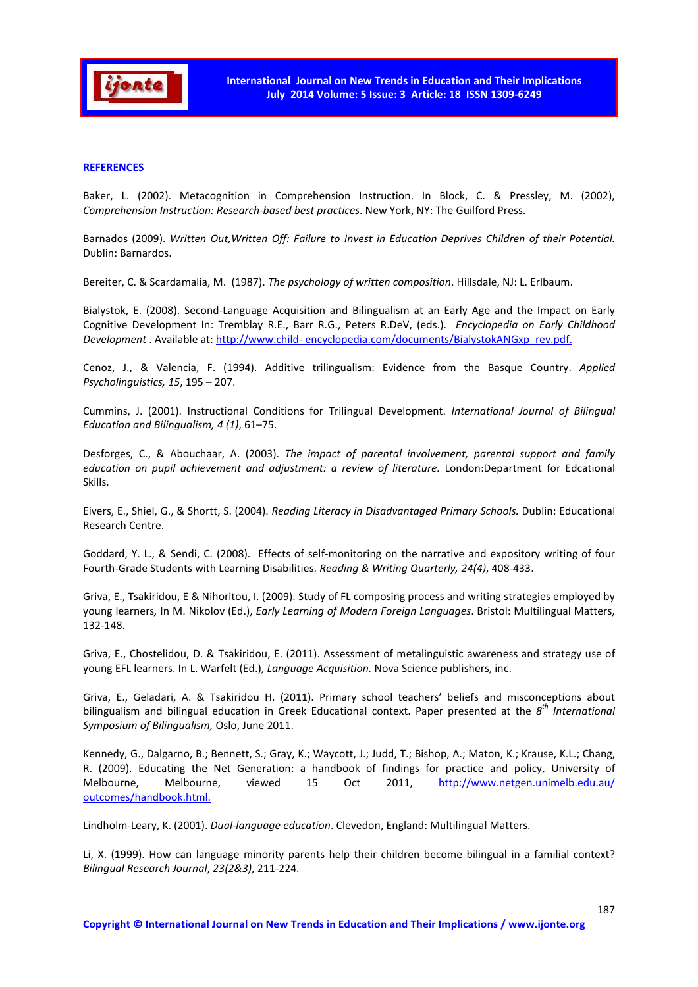

# **REFERENCES**

Baker, L. (2002). Metacognition in Comprehension Instruction. In Block, C. & Pressley, M. (2002), *Comprehension Instruction: Research-based best practices*. New York, NY: The Guilford Press.

Barnados (2009). *Written Out,Written Off: Failure to Invest in Education Deprives Children of their Potential.*  Dublin: Barnardos.

Bereiter, C. & Scardamalia, M. (1987). *The psychology of written composition*. Hillsdale, NJ: L. Erlbaum.

Bialystok, E. (2008). Second-Language Acquisition and Bilingualism at an Early Age and the Impact on Early Cognitive Development In: Tremblay R.E., Barr R.G., Peters R.DeV, (eds.). *Encyclopedia on Early Childhood Development* . Available at: http://www.child- encyclopedia.com/documents/BialystokANGxp\_rev.pdf.

Cenoz, J., & Valencia, F. (1994). Additive trilingualism: Evidence from the Basque Country. *Applied Psycholinguistics, 15*, 195 – 207.

Cummins, J. (2001). Instructional Conditions for Trilingual Development. *International Journal of Bilingual Education and Bilingualism, 4 (1)*, 61–75.

Desforges, C., & Abouchaar, A. (2003). *The impact of parental involvement, parental support and family education on pupil achievement and adjustment: a review of literature.* London:Department for Edcational Skills.

Eivers, E., Shiel, G., & Shortt, S. (2004). *Reading Literacy in Disadvantaged Primary Schools.* Dublin: Educational Research Centre.

Goddard, Y. L., & Sendi, C. (2008). Effects of self-monitoring on the narrative and expository writing of four Fourth-Grade Students with Learning Disabilities. *Reading & Writing Quarterly, 24(4)*, 408-433.

Griva, E., Tsakiridou, E & Nihoritou, I. (2009). Study of FL composing process and writing strategies employed by young learners*,* In M. Nikolov (Ed.), *Early Learning of Modern Foreign Languages*. Bristol: Multilingual Matters, 132-148.

Griva, E., Chostelidou, D. & Tsakiridou, E. (2011). Assessment of metalinguistic awareness and strategy use of young EFL learners. In L. Warfelt (Ed.), *Language Acquisition.* Nova Science publishers, inc.

Griva, E., Geladari, A. & Tsakiridou H. (2011). Primary school teachers' beliefs and misconceptions about bilingualism and bilingual education in Greek Educational context. Paper presented at the *8th International Symposium of Bilingualism,* Oslo, June 2011.

Kennedy, G., Dalgarno, B.; Bennett, S.; Gray, K.; Waycott, J.; Judd, T.; Bishop, A.; Maton, K.; Krause, K.L.; Chang, R. (2009). Educating the Net Generation: a handbook of findings for practice and policy, University of Melbourne, Melbourne, viewed 15 Oct 2011, http://www.netgen.unimelb.edu.au/ outcomes/handbook.html.

Lindholm-Leary, K. (2001). *Dual-language education*. Clevedon, England: Multilingual Matters.

Li, X. (1999). How can language minority parents help their children become bilingual in a familial context? *Bilingual Research Journal*, *23(2&3)*, 211-224.